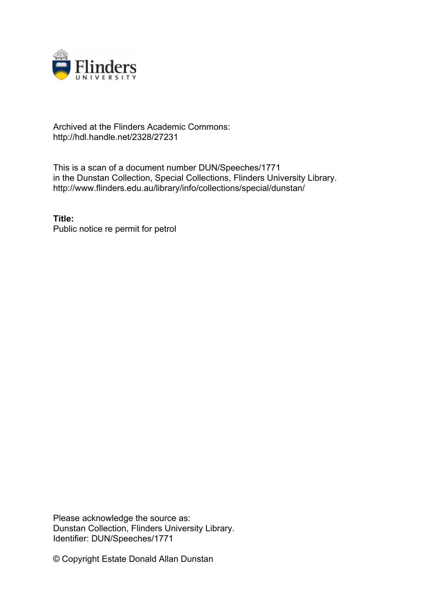

## Archived at the Flinders Academic Commons: http://hdl.handle.net/2328/27231

This is a scan of a document number DUN/Speeches/1771 in the Dunstan Collection, Special Collections, Flinders University Library. http://www.flinders.edu.au/library/info/collections/special/dunstan/

**Title:** Public notice re permit for petrol

Please acknowledge the source as: Dunstan Collection, Flinders University Library. Identifier: DUN/Speeches/1771

© Copyright Estate Donald Allan Dunstan